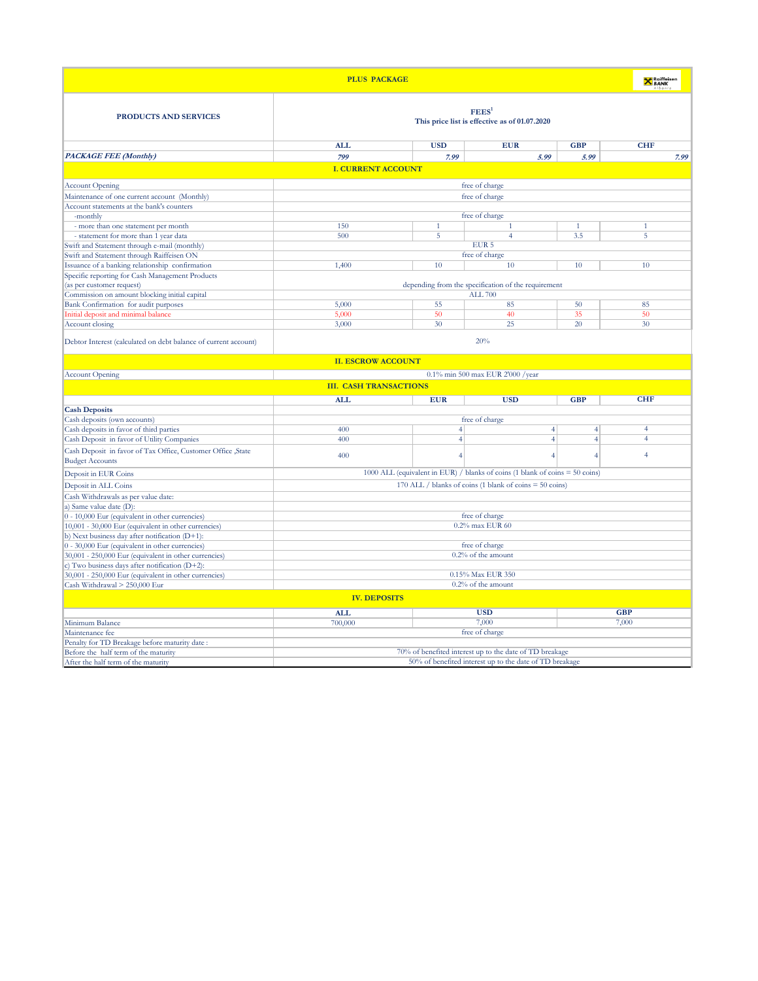| <b>PLUS PACKAGE</b>                                                        |                                                                              |                 |                                                     |                | <b>X</b> Raiffeisen |  |
|----------------------------------------------------------------------------|------------------------------------------------------------------------------|-----------------|-----------------------------------------------------|----------------|---------------------|--|
| PRODUCTS AND SERVICES                                                      | FEES <sup>1</sup><br>This price list is effective as of 01.07.2020           |                 |                                                     |                |                     |  |
|                                                                            | <b>ALL</b>                                                                   | <b>USD</b>      | <b>EUR</b>                                          | <b>GBP</b>     | <b>CHF</b>          |  |
| <b>PACKAGE FEE (Monthly)</b>                                               | 799                                                                          | 7.99            | 5.99                                                | 5.99           | 7.99                |  |
|                                                                            | <b>I. CURRENT ACCOUNT</b>                                                    |                 |                                                     |                |                     |  |
| <b>Account Opening</b>                                                     | free of charge                                                               |                 |                                                     |                |                     |  |
| Maintenance of one current account (Monthly)                               | free of charge                                                               |                 |                                                     |                |                     |  |
| Account statements at the bank's counters                                  |                                                                              |                 |                                                     |                |                     |  |
| -monthly                                                                   |                                                                              |                 | free of charge                                      |                |                     |  |
| - more than one statement per month                                        | 150                                                                          | $\mathbf{1}$    |                                                     | $\mathbf{1}$   | $\overline{1}$      |  |
| - statement for more than 1 year data                                      | 500                                                                          | 5               | $\overline{4}$                                      | 3.5            | 5                   |  |
| Swift and Statement through e-mail (monthly)                               |                                                                              |                 | EUR <sub>5</sub>                                    |                |                     |  |
| Swift and Statement through Raiffeisen ON                                  |                                                                              |                 | free of charge                                      |                |                     |  |
| Issuance of a banking relationship confirmation                            | 1,400                                                                        | 10              | 10                                                  | 10             | 10                  |  |
| Specific reporting for Cash Management Products                            |                                                                              |                 |                                                     |                |                     |  |
| (as per customer request)                                                  |                                                                              |                 | depending from the specification of the requirement |                |                     |  |
| Commission on amount blocking initial capital                              |                                                                              | 55              | <b>ALL 700</b>                                      | 50             | 85                  |  |
| Bank Confirmation for audit purposes<br>nitial deposit and minimal balance | 5,000<br>5,000                                                               | 50              | 85<br>40                                            | 35             | 50                  |  |
| Account closing                                                            | 3,000                                                                        | 30              | 25                                                  | 20             | 30                  |  |
| Debtor Interest (calculated on debt balance of current account)            | <b>II. ESCROW ACCOUNT</b>                                                    |                 | 20%                                                 |                |                     |  |
| <b>Account Opening</b>                                                     |                                                                              |                 | 0.1% min 500 max EUR 2'000 /year                    |                |                     |  |
|                                                                            | <b>III. CASH TRANSACTIONS</b>                                                |                 |                                                     |                |                     |  |
|                                                                            | <b>ALL</b>                                                                   | <b>EUR</b>      | <b>USD</b>                                          | <b>GBP</b>     | <b>CHF</b>          |  |
| <b>Cash Deposits</b>                                                       |                                                                              |                 |                                                     |                |                     |  |
| Cash deposits (own accounts)                                               |                                                                              |                 | free of charge                                      |                |                     |  |
| Cash deposits in favor of third parties                                    | 400                                                                          | $\vert 4 \vert$ | $\overline{4}$                                      | $\overline{4}$ | $\overline{4}$      |  |
| Cash Deposit in favor of Utility Companies                                 | 400                                                                          | $\overline{4}$  | $\overline{4}$                                      | $\overline{4}$ | 4                   |  |
| Cash Deposit in favor of Tax Office, Customer Office , State               | 400                                                                          | $\overline{4}$  | $\overline{4}$                                      | $\overline{4}$ | $\overline{4}$      |  |
| <b>Budget Accounts</b>                                                     |                                                                              |                 |                                                     |                |                     |  |
| Deposit in EUR Coins                                                       | 1000 ALL (equivalent in EUR) / blanks of coins (1 blank of coins = 50 coins) |                 |                                                     |                |                     |  |
| Deposit in ALL Coins                                                       | 170 ALL / blanks of coins (1 blank of coins $=$ 50 coins)                    |                 |                                                     |                |                     |  |
| Cash Withdrawals as per value date:                                        |                                                                              |                 |                                                     |                |                     |  |
| a) Same value date (D):                                                    |                                                                              |                 |                                                     |                |                     |  |
| 0 - 10,000 Eur (equivalent in other currencies)                            | free of charge                                                               |                 |                                                     |                |                     |  |
| 10,001 - 30,000 Eur (equivalent in other currencies)                       | 0.2% max EUR 60                                                              |                 |                                                     |                |                     |  |
| b) Next business day after notification (D+1):                             |                                                                              |                 |                                                     |                |                     |  |
| 0 - 30,000 Eur (equivalent in other currencies)                            | free of charge                                                               |                 |                                                     |                |                     |  |
| 30,001 - 250,000 Eur (equivalent in other currencies)                      | 0.2% of the amount                                                           |                 |                                                     |                |                     |  |
| c) Two business days after notification (D+2):                             |                                                                              |                 |                                                     |                |                     |  |
| 30,001 - 250,000 Eur (equivalent in other currencies)                      | 0.15% Max EUR 350                                                            |                 |                                                     |                |                     |  |
| Cash Withdrawal > 250,000 Eur                                              | 0.2% of the amount                                                           |                 |                                                     |                |                     |  |
|                                                                            | <b>IV. DEPOSITS</b>                                                          |                 |                                                     |                |                     |  |
|                                                                            | <b>ALL</b>                                                                   |                 | <b>USD</b>                                          |                | <b>GBP</b>          |  |
| Minimum Balance                                                            | 700,000                                                                      |                 | 7,000                                               |                | 7,000               |  |
| Maintenance fee                                                            |                                                                              |                 | free of charge                                      |                |                     |  |
| Penalty for TD Breakage before maturity date:                              |                                                                              |                 |                                                     |                |                     |  |
| Before the half term of the maturity                                       | 70% of benefited interest up to the date of TD breakage                      |                 |                                                     |                |                     |  |
| After the half term of the maturity                                        | 50% of benefited interest up to the date of TD breakage                      |                 |                                                     |                |                     |  |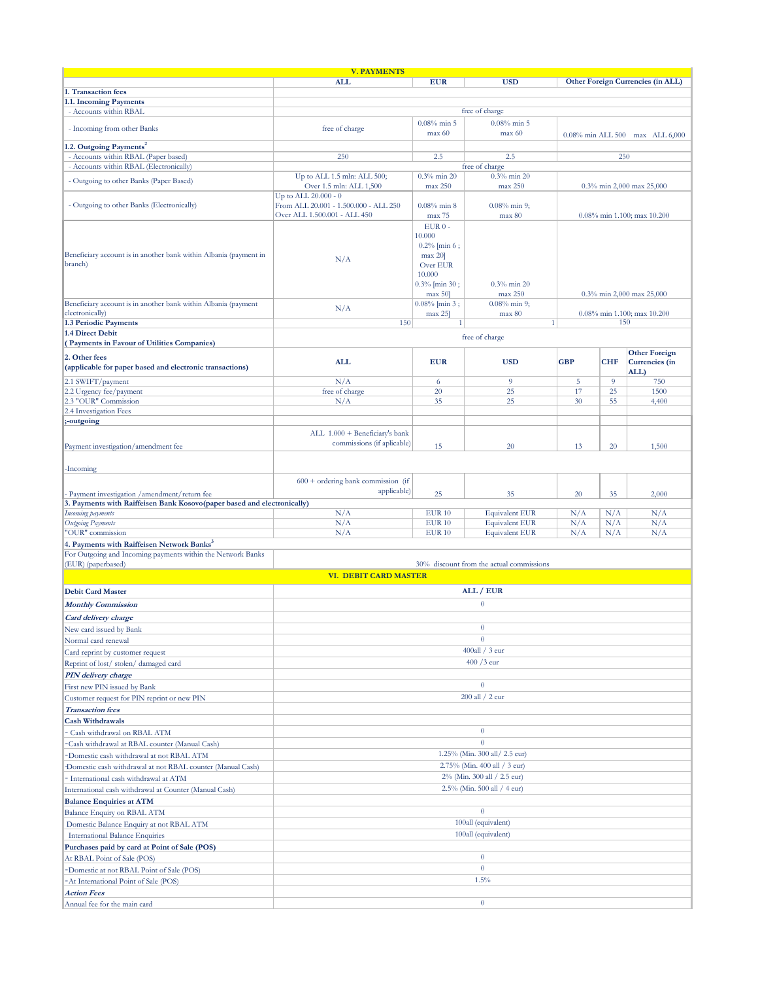|                                                                         | <b>V. PAYMENTS</b>                    |                            |                                          |            |            |                                   |
|-------------------------------------------------------------------------|---------------------------------------|----------------------------|------------------------------------------|------------|------------|-----------------------------------|
|                                                                         | <b>ALL</b>                            | <b>EUR</b>                 | <b>USD</b>                               |            |            | Other Foreign Currencies (in ALL) |
| 1. Transaction fees                                                     |                                       |                            |                                          |            |            |                                   |
| 1.1. Incoming Payments                                                  |                                       |                            |                                          |            |            |                                   |
| - Accounts within RBAL                                                  |                                       |                            | free of charge                           |            |            |                                   |
|                                                                         |                                       | $0.08\%$ min 5             | $0.08\%$ min 5                           |            |            |                                   |
| - Incoming from other Banks                                             | free of charge                        | max 60                     | max 60                                   |            |            | 0.08% min ALL 500 max ALL 6,000   |
| 1.2. Outgoing Payments <sup>2</sup>                                     |                                       |                            |                                          |            |            |                                   |
| - Accounts within RBAL (Paper based)                                    | 250                                   | 2.5                        | 2.5                                      |            | 250        |                                   |
| - Accounts within RBAL (Electronically)                                 |                                       |                            | free of charge                           |            |            |                                   |
| - Outgoing to other Banks (Paper Based)                                 | Up to ALL 1.5 mln: ALL 500;           | $0.3\%$ min 20             | $0.3\%$ min 20                           |            |            |                                   |
|                                                                         | Over 1.5 mln: ALL 1,500               | max 250                    | max 250                                  |            |            | 0.3% min 2,000 max 25,000         |
|                                                                         | Up to ALL $20.000 - 0$                |                            |                                          |            |            |                                   |
| - Outgoing to other Banks (Electronically)                              | From ALL 20.001 - 1.500.000 - ALL 250 | $0.08\%$ min $8$           | $0.08\%$ min 9;                          |            |            |                                   |
|                                                                         | Over ALL 1.500.001 - ALL 450          | max 75                     | max 80                                   |            |            | 0.08% min 1.100; max 10.200       |
|                                                                         |                                       | $EUR0 -$                   |                                          |            |            |                                   |
|                                                                         |                                       | 10.000                     |                                          |            |            |                                   |
| Beneficiary account is in another bank within Albania (payment in       |                                       | $0.2\%$ [min 6;<br>max 20] |                                          |            |            |                                   |
| branch)                                                                 | N/A                                   | Over EUR                   |                                          |            |            |                                   |
|                                                                         |                                       | 10.000                     |                                          |            |            |                                   |
|                                                                         |                                       | $0.3\%$ [min 30;           | $0.3\%$ min 20                           |            |            |                                   |
|                                                                         |                                       | max 50                     | max 250                                  |            |            | 0.3% min 2,000 max 25,000         |
| Beneficiary account is in another bank within Albania (payment          |                                       | $0.08\%$ [min 3;           | $0.08\%$ min 9;                          |            |            |                                   |
| electronically)                                                         | N/A                                   | max 25]                    | max 80                                   |            |            | 0.08% min 1.100; max 10.200       |
| 1.3 Periodic Payments                                                   | 150                                   | $\left  \right $           | 1 <sup>1</sup>                           |            | 150        |                                   |
| 1.4 Direct Debit                                                        |                                       |                            |                                          |            |            |                                   |
| (Payments in Favour of Utilities Companies)                             |                                       |                            | free of charge                           |            |            |                                   |
|                                                                         |                                       |                            |                                          |            |            | <b>Other Foreign</b>              |
| 2. Other fees                                                           | <b>ALL</b>                            | <b>EUR</b>                 | <b>USD</b>                               | <b>GBP</b> | <b>CHF</b> | Currencies (in                    |
| (applicable for paper based and electronic transactions)                |                                       |                            |                                          |            |            | ALL)                              |
| 2.1 SWIFT/payment                                                       | N/A                                   | 6                          | 9                                        | 5          | 9          | 750                               |
| 2.2 Urgency fee/payment                                                 | free of charge                        | 20                         | 25                                       | 17         | 25         | 1500                              |
| 2.3 "OUR" Commission                                                    | N/A                                   | 35                         | 25                                       | 30         | 55         | 4,400                             |
| 2.4 Investigation Fees                                                  |                                       |                            |                                          |            |            |                                   |
| -outgoing                                                               |                                       |                            |                                          |            |            |                                   |
|                                                                         | ALL 1.000 + Beneficiary's bank        |                            |                                          |            |            |                                   |
| Payment investigation/amendment fee                                     | commissions (if aplicable)            | 15                         | 20                                       | 13         | 20         | 1,500                             |
|                                                                         |                                       |                            |                                          |            |            |                                   |
|                                                                         |                                       |                            |                                          |            |            |                                   |
| Incoming                                                                |                                       |                            |                                          |            |            |                                   |
|                                                                         | $600 +$ ordering bank commission (if  |                            |                                          |            |            |                                   |
| Payment investigation / amendment/return fee                            | applicable)                           | 25                         | 35                                       | 20         | 35         | 2,000                             |
| 3. Payments with Raiffeisen Bank Kosovo(paper based and electronically) |                                       |                            |                                          |            |            |                                   |
| Incoming payments                                                       | N/A                                   | <b>EUR 10</b>              | <b>Equivalent EUR</b>                    | N/A        | N/A        | N/A                               |
| <b>Outgoing Payments</b>                                                | N/A                                   | <b>EUR 10</b>              | <b>Equivalent EUR</b>                    | N/A        | N/A        | N/A                               |
| 'OUR" commission                                                        | N/A                                   | <b>EUR 10</b>              | <b>Equivalent EUR</b>                    | N/A        | N/A        | N/A                               |
| 4. Payments with Raiffeisen Network Banks <sup>3</sup>                  |                                       |                            |                                          |            |            |                                   |
| For Outgoing and Incoming payments within the Network Banks             |                                       |                            |                                          |            |            |                                   |
| (EUR) (paperbased)                                                      |                                       |                            | 30% discount from the actual commissions |            |            |                                   |
|                                                                         | VI. DEBIT CARD MASTER                 |                            |                                          |            |            |                                   |
| <b>Debit Card Master</b>                                                |                                       |                            | ALL / EUR                                |            |            |                                   |
|                                                                         |                                       |                            |                                          |            |            |                                   |
| <b>Monthly Commission</b>                                               |                                       |                            | $\mathbf{0}$                             |            |            |                                   |
| <b>Card delivery charge</b>                                             |                                       |                            |                                          |            |            |                                   |
| New card issued by Bank                                                 |                                       |                            | $\overline{0}$                           |            |            |                                   |
| Normal card renewal                                                     |                                       |                            | $\overline{0}$                           |            |            |                                   |
|                                                                         | $400$ all / 3 eur                     |                            |                                          |            |            |                                   |
| Card reprint by customer request                                        |                                       |                            | $400/3$ eur                              |            |            |                                   |
| Reprint of lost/stolen/damaged card                                     |                                       |                            |                                          |            |            |                                   |
| <b>PIN</b> delivery charge                                              |                                       |                            |                                          |            |            |                                   |
| First new PIN issued by Bank                                            |                                       |                            | $\mathbf{0}$                             |            |            |                                   |
| Customer request for PIN reprint or new PIN                             |                                       |                            | 200 all / 2 eur                          |            |            |                                   |
| <b>Transaction</b> fees                                                 |                                       |                            |                                          |            |            |                                   |
| <b>Cash Withdrawals</b>                                                 |                                       |                            |                                          |            |            |                                   |
| Cash withdrawal on RBAL ATM                                             |                                       |                            | $\overline{0}$                           |            |            |                                   |
| Cash withdrawal at RBAL counter (Manual Cash)                           | $\overline{0}$                        |                            |                                          |            |            |                                   |
|                                                                         |                                       |                            |                                          |            |            |                                   |
| Domestic cash withdrawal at not RBAL ATM                                | 1.25% (Min. 300 all/ 2.5 eur)         |                            |                                          |            |            |                                   |
| Domestic cash withdrawal at not RBAL counter (Manual Cash)              | 2.75% (Min. 400 all / 3 eur)          |                            |                                          |            |            |                                   |
| International cash withdrawal at ATM                                    | 2% (Min. 300 all / 2.5 eur)           |                            |                                          |            |            |                                   |
| International cash withdrawal at Counter (Manual Cash)                  | 2.5% (Min. 500 all / 4 eur)           |                            |                                          |            |            |                                   |
| <b>Balance Enquiries at ATM</b>                                         |                                       |                            |                                          |            |            |                                   |
| Balance Enquiry on RBAL ATM                                             | $\theta$                              |                            |                                          |            |            |                                   |
| Domestic Balance Enquiry at not RBAL ATM                                | 100all (equivalent)                   |                            |                                          |            |            |                                   |
|                                                                         | 100all (equivalent)                   |                            |                                          |            |            |                                   |
| International Balance Enquiries                                         |                                       |                            |                                          |            |            |                                   |
| Purchases paid by card at Point of Sale (POS)                           |                                       |                            |                                          |            |            |                                   |
| At RBAL Point of Sale (POS)                                             | $\overline{0}$                        |                            |                                          |            |            |                                   |
| Domestic at not RBAL Point of Sale (POS)                                | $\overline{0}$                        |                            |                                          |            |            |                                   |
| At International Point of Sale (POS)                                    | 1.5%                                  |                            |                                          |            |            |                                   |
| <b>Action Fees</b>                                                      |                                       |                            |                                          |            |            |                                   |
| Annual fee for the main card                                            |                                       |                            | $\overline{0}$                           |            |            |                                   |
|                                                                         |                                       |                            |                                          |            |            |                                   |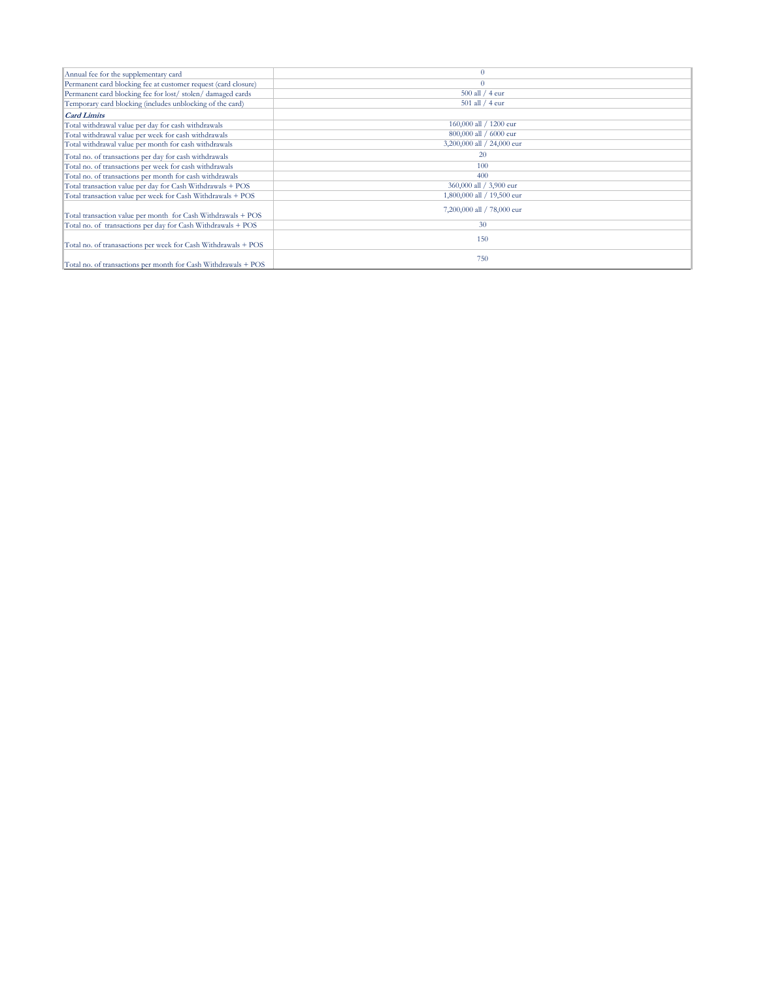| Annual fee for the supplementary card                          | $\Omega$                   |
|----------------------------------------------------------------|----------------------------|
| Permanent card blocking fee at customer request (card closure) | $\Omega$                   |
| Permanent card blocking fee for lost/stolen/damaged cards      | 500 all / 4 eur            |
| Temporary card blocking (includes unblocking of the card)      | 501 all / 4 eur            |
| <b>Card Limits</b>                                             |                            |
| Total withdrawal value per day for cash withdrawals            | 160,000 all / 1200 eur     |
| Total withdrawal value per week for cash withdrawals           | 800,000 all / 6000 eur     |
| Total withdrawal value per month for cash withdrawals          | 3,200,000 all / 24,000 eur |
| Total no. of transactions per day for cash withdrawals         | 20                         |
| Total no. of transactions per week for cash withdrawals        | 100                        |
| Total no. of transactions per month for cash withdrawals       | 400                        |
| Total transaction value per day for Cash Withdrawals + POS     | 360,000 all / 3,900 eur    |
| Total transaction value per week for Cash Withdrawals + POS    | 1,800,000 all / 19,500 eur |
| Total transaction value per month for Cash Withdrawals + POS   | 7,200,000 all / 78,000 eur |
| Total no. of transactions per day for Cash Withdrawals + POS   | 30                         |
| Total no. of tranasactions per week for Cash Withdrawals + POS | 150                        |
| Total no. of transactions per month for Cash Withdrawals + POS | 750                        |